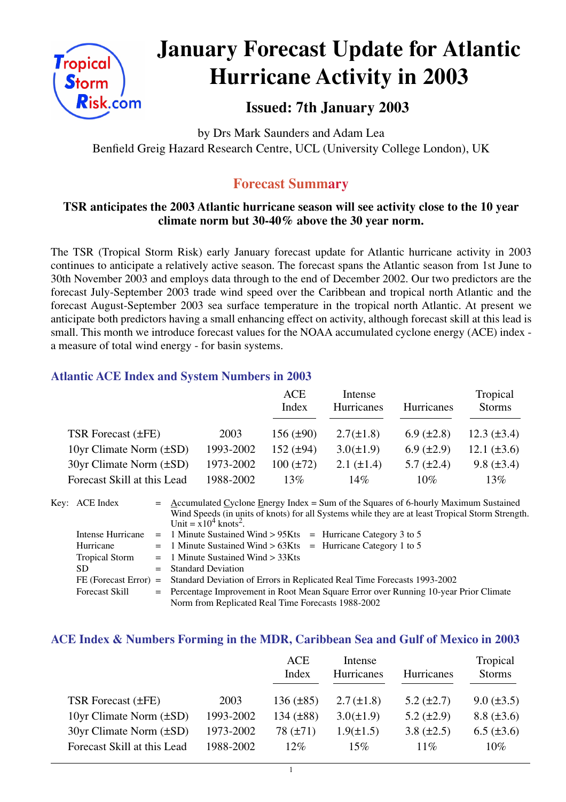

# **January Forecast Update for Atlantic Hurricane Activity in 2003**

## **Issued: 7th January 2003**

by Drs Mark Saunders and Adam Lea Benfield Greig Hazard Research Centre, UCL (University College London), UK

## **Forecast Summary**

#### **TSR anticipates the 2003 Atlantic hurricane season will see activity close to the 10 year climate norm but 30-40% above the 30 year norm.**

The TSR (Tropical Storm Risk) early January forecast update for Atlantic hurricane activity in 2003 continues to anticipate a relatively active season. The forecast spans the Atlantic season from 1st June to 30th November 2003 and employs data through to the end of December 2002. Our two predictors are the forecast July-September 2003 trade wind speed over the Caribbean and tropical north Atlantic and the forecast August-September 2003 sea surface temperature in the tropical north Atlantic. At present we anticipate both predictors having a small enhancing effect on activity, although forecast skill at this lead is small. This month we introduce forecast values for the NOAA accumulated cyclone energy (ACE) index a measure of total wind energy - for basin systems.

#### **Atlantic ACE Index and System Numbers in 2003**

|                                |           | ACE<br>Index   | Intense<br>Hurricanes | <b>Hurricanes</b> | Tropical<br><b>Storms</b> |
|--------------------------------|-----------|----------------|-----------------------|-------------------|---------------------------|
| TSR Forecast (±FE)             | 2003      | $156 (\pm 90)$ | $2.7(\pm 1.8)$        | 6.9 $(\pm 2.8)$   | $12.3 \ (\pm 3.4)$        |
| 10yr Climate Norm $(\pm SD)$   | 1993-2002 | 152 $(\pm 94)$ | $3.0(\pm 1.9)$        | $6.9 \ (\pm 2.9)$ | 12.1 $(\pm 3.6)$          |
| $30yr$ Climate Norm $(\pm SD)$ | 1973-2002 | $100 (\pm 72)$ | $2.1 (\pm 1.4)$       | $5.7 \ (\pm 2.4)$ | $9.8 (\pm 3.4)$           |
| Forecast Skill at this Lead    | 1988-2002 | 13%            | 14%                   | 10%               | 13%                       |

| Key: ACE Index        | $=$ Accumulated Cyclone Energy Index = Sum of the Squares of 6-hourly Maximum Sustained          |  |  |  |  |  |
|-----------------------|--------------------------------------------------------------------------------------------------|--|--|--|--|--|
|                       | Wind Speeds (in units of knots) for all Systems while they are at least Tropical Storm Strength. |  |  |  |  |  |
|                       | Unit = $x10^4$ knots <sup>2</sup> .                                                              |  |  |  |  |  |
| Intense Hurricane     | $=$ 1 Minute Sustained Wind > 95Kts $=$ Hurricane Category 3 to 5                                |  |  |  |  |  |
| Hurricane             | $=$ 1 Minute Sustained Wind > 63Kts $=$ Hurricane Category 1 to 5                                |  |  |  |  |  |
| <b>Tropical Storm</b> | $=$ 1 Minute Sustained Wind $>$ 33Kts                                                            |  |  |  |  |  |
| SD.                   | $=$ Standard Deviation                                                                           |  |  |  |  |  |
|                       | FE (Forecast Error) = Standard Deviation of Errors in Replicated Real Time Forecasts 1993-2002   |  |  |  |  |  |
| <b>Forecast Skill</b> | = Percentage Improvement in Root Mean Square Error over Running 10-year Prior Climate            |  |  |  |  |  |
|                       | Norm from Replicated Real Time Forecasts 1988-2002                                               |  |  |  |  |  |

#### **ACE Index & Numbers Forming in the MDR, Caribbean Sea and Gulf of Mexico in 2003**

|                                |           | <b>ACE</b><br>Index | Intense<br>Hurricanes | Hurricanes        | Tropical<br><b>Storms</b> |
|--------------------------------|-----------|---------------------|-----------------------|-------------------|---------------------------|
| TSR Forecast (±FE)             | 2003      | $136 (\pm 85)$      | $2.7 (\pm 1.8)$       | $5.2 \ (\pm 2.7)$ | $9.0 (\pm 3.5)$           |
| 10yr Climate Norm $(\pm SD)$   | 1993-2002 | 134 $(\pm 88)$      | $3.0(\pm 1.9)$        | $5.2 \ (\pm 2.9)$ | $8.8 (\pm 3.6)$           |
| $30yr$ Climate Norm $(\pm SD)$ | 1973-2002 | $78 (\pm 71)$       | $1.9(\pm 1.5)$        | $3.8 (\pm 2.5)$   | $6.5 (\pm 3.6)$           |
| Forecast Skill at this Lead    | 1988-2002 | $12\%$              | $15\%$                | $11\%$            | $10\%$                    |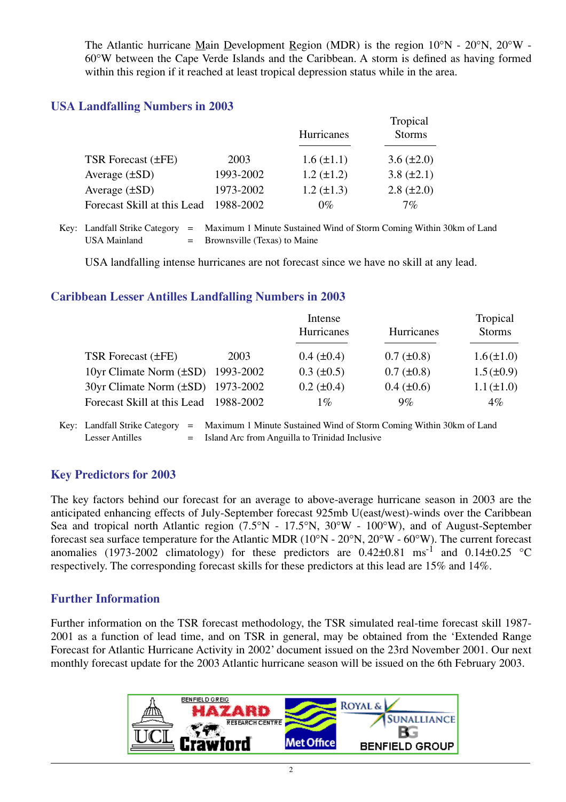The Atlantic hurricane Main Development Region (MDR) is the region 10°N - 20°N, 20°W - 60°W between the Cape Verde Islands and the Caribbean. A storm is defined as having formed within this region if it reached at least tropical depression status while in the area.

#### **USA Landfalling Numbers in 2003**

|                             |           | <b>Hurricanes</b> | Tropical<br><b>Storms</b> |
|-----------------------------|-----------|-------------------|---------------------------|
| TSR Forecast (±FE)          | 2003      | $1.6 (\pm 1.1)$   | $3.6 (\pm 2.0)$           |
| Average $(\pm SD)$          | 1993-2002 | $1.2 (\pm 1.2)$   | 3.8 $(\pm 2.1)$           |
| Average $(\pm SD)$          | 1973-2002 | $1.2 (\pm 1.3)$   | $2.8 (\pm 2.0)$           |
| Forecast Skill at this Lead | 1988-2002 | $0\%$             | $7\%$                     |

Key: Landfall Strike Category = Maximum 1 Minute Sustained Wind of Storm Coming Within 30km of Land USA Mainland  $=$  Brownsville (Texas) to Maine

USA landfalling intense hurricanes are not forecast since we have no skill at any lead.

#### **Caribbean Lesser Antilles Landfalling Numbers in 2003**

|                                        |      | Intense           |                 | Tropical        |
|----------------------------------------|------|-------------------|-----------------|-----------------|
|                                        |      | Hurricanes        | Hurricanes      | <b>Storms</b>   |
|                                        |      |                   |                 |                 |
| TSR Forecast (±FE)                     | 2003 | $0.4~(\pm 0.4)$   | $0.7 (\pm 0.8)$ | $1.6(\pm 1.0)$  |
| 10yr Climate Norm $(\pm SD)$ 1993-2002 |      | $0.3 \ (\pm 0.5)$ | $0.7 (\pm 0.8)$ | $1.5(\pm 0.9)$  |
| 30yr Climate Norm (±SD) 1973-2002      |      | $0.2 (\pm 0.4)$   | $0.4~(\pm 0.6)$ | $1.1 (\pm 1.0)$ |
| Forecast Skill at this Lead 1988-2002  |      | $1\%$             | $9\%$           | $4\%$           |
|                                        |      |                   |                 |                 |

Key: Landfall Strike Category = Maximum 1 Minute Sustained Wind of Storm Coming Within 30km of Land Lesser Antilles = Island Arc from Anguilla to Trinidad Inclusive

#### **Key Predictors for 2003**

The key factors behind our forecast for an average to above-average hurricane season in 2003 are the anticipated enhancing effects of July-September forecast 925mb U(east/west)-winds over the Caribbean Sea and tropical north Atlantic region (7.5°N - 17.5°N, 30°W - 100°W), and of August-September forecast sea surface temperature for the Atlantic MDR (10°N - 20°N, 20°W - 60°W). The current forecast anomalies (1973-2002 climatology) for these predictors are  $0.42\pm0.81$  ms<sup>-1</sup> and  $0.14\pm0.25$  °C respectively. The corresponding forecast skills for these predictors at this lead are 15% and 14%.

#### **Further Information**

Further information on the TSR forecast methodology, the TSR simulated real-time forecast skill 1987- 2001 as a function of lead time, and on TSR in general, may be obtained from the 'Extended Range Forecast for Atlantic Hurricane Activity in 2002' document issued on the 23rd November 2001. Our next monthly forecast update for the 2003 Atlantic hurricane season will be issued on the 6th February 2003.

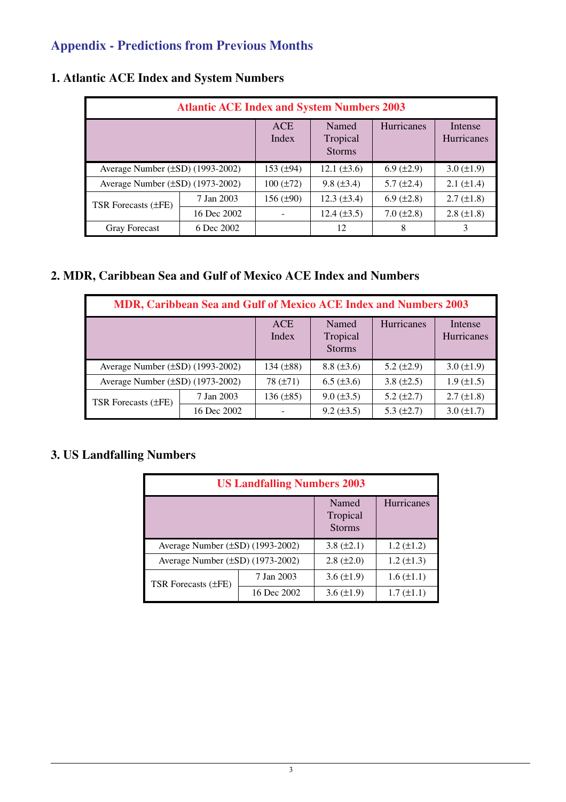## **Appendix - Predictions from Previous Months**

| <b>Atlantic ACE Index and System Numbers 2003</b> |             |                     |                                    |                    |                              |  |
|---------------------------------------------------|-------------|---------------------|------------------------------------|--------------------|------------------------------|--|
|                                                   |             | <b>ACE</b><br>Index | Named<br>Tropical<br><b>Storms</b> | <b>Hurricanes</b>  | Intense<br><b>Hurricanes</b> |  |
| Average Number $(\pm SD)$ (1993-2002)             |             | 153 $(\pm 94)$      | 12.1 $(\pm 3.6)$                   | $6.9 \, (\pm 2.9)$ | $3.0 (\pm 1.9)$              |  |
| Average Number $(\pm SD)$ (1973-2002)             |             | $100 (\pm 72)$      | $9.8 (\pm 3.4)$                    | $5.7 (\pm 2.4)$    | $2.1 (\pm 1.4)$              |  |
| TSR Forecasts (±FE)                               | 7 Jan 2003  | 156 $(\pm 90)$      | $12.3 \ (\pm 3.4)$                 | $6.9 \ (\pm 2.8)$  | $2.7 (\pm 1.8)$              |  |
|                                                   | 16 Dec 2002 |                     | $12.4 (\pm 3.5)$                   | $7.0 (\pm 2.8)$    | $2.8 (\pm 1.8)$              |  |
| <b>Gray Forecast</b>                              | 6 Dec 2002  |                     | 12                                 | 8                  |                              |  |

## **1. Atlantic ACE Index and System Numbers**

#### **2. MDR, Caribbean Sea and Gulf of Mexico ACE Index and Numbers**

| MDR, Caribbean Sea and Gulf of Mexico ACE Index and Numbers 2003 |             |                     |                                    |                   |                              |
|------------------------------------------------------------------|-------------|---------------------|------------------------------------|-------------------|------------------------------|
|                                                                  |             | <b>ACE</b><br>Index | Named<br>Tropical<br><b>Storms</b> | Hurricanes        | Intense<br><b>Hurricanes</b> |
| Average Number $(\pm SD)$ (1993-2002)                            |             | 134 $(\pm 88)$      | $8.8 (\pm 3.6)$                    | 5.2 $(\pm 2.9)$   | $3.0 (\pm 1.9)$              |
| Average Number $(\pm SD)$ (1973-2002)                            |             | 78 $(\pm 71)$       | $6.5 (\pm 3.6)$                    | 3.8 $(\pm 2.5)$   | $1.9 \ (\pm 1.5)$            |
| <b>TSR Forecasts (±FE)</b>                                       | 7 Jan 2003  | 136 (±85)           | $9.0 \ (\pm 3.5)$                  | $5.2 \ (\pm 2.7)$ | $2.7 \ (\pm 1.8)$            |
|                                                                  | 16 Dec 2002 |                     | $9.2 (\pm 3.5)$                    | 5.3 $(\pm 2.7)$   | $3.0 (\pm 1.7)$              |

### **3. US Landfalling Numbers**

| <b>US Landfalling Numbers 2003</b>    |                                    |                   |                   |  |  |  |
|---------------------------------------|------------------------------------|-------------------|-------------------|--|--|--|
|                                       | Named<br>Tropical<br><b>Storms</b> | <b>Hurricanes</b> |                   |  |  |  |
| Average Number $(\pm SD)$ (1993-2002) | 3.8 $(\pm 2.1)$                    | $1.2 (\pm 1.2)$   |                   |  |  |  |
| Average Number (±SD) (1973-2002)      | $2.8 (\pm 2.0)$                    | $1.2 (\pm 1.3)$   |                   |  |  |  |
| <b>TSR Forecasts (±FE)</b>            | 7 Jan 2003                         | $3.6 \ (\pm 1.9)$ | $1.6 (\pm 1.1)$   |  |  |  |
|                                       | 16 Dec 2002                        | $3.6 \ (\pm 1.9)$ | $1.7 \ (\pm 1.1)$ |  |  |  |